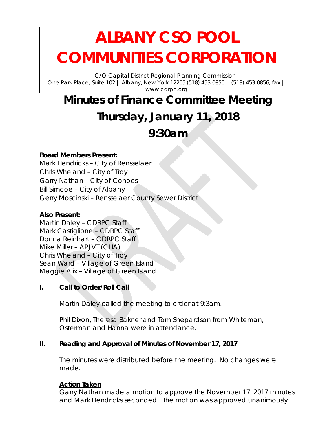# **ALBANY CSO POOL COMMUNITIES CORPORATION**

C/O Capital District Regional Planning Commission One Park Place, Suite 102 | Albany, New York 12205 (518) 453-0850 | (518) 453-0856, fax | www.cdrpc.org

# **Minutes of Finance Committee Meeting Thursday, January 11, 2018**

# **9:30am**

### **Board Members Present:**

Mark Hendricks – City of Rensselaer Chris Wheland – City of Troy Garry Nathan – City of Cohoes Bill Simcoe – City of Albany Gerry Moscinski – Rensselaer County Sewer District

### **Also Present:**

Martin Daley – CDRPC Staff Mark Castiglione – CDRPC Staff Donna Reinhart – CDRPC Staff Mike Miller – APJVT (CHA) Chris Wheland – City of Troy Sean Ward – Village of Green Island Maggie Alix – Village of Green Island

# **I. Call to Order/Roll Call**

Martin Daley called the meeting to order at 9:3am.

Phil Dixon, Theresa Bakner and Tom Shepardson from Whiteman, Osterman and Hanna were in attendance.

# **II. Reading and Approval of Minutes of November 17, 2017**

The minutes were distributed before the meeting. No changes were made.

#### **Action Taken**

Garry Nathan made a motion to approve the November 17, 2017 minutes and Mark Hendricks seconded. The motion was approved unanimously.